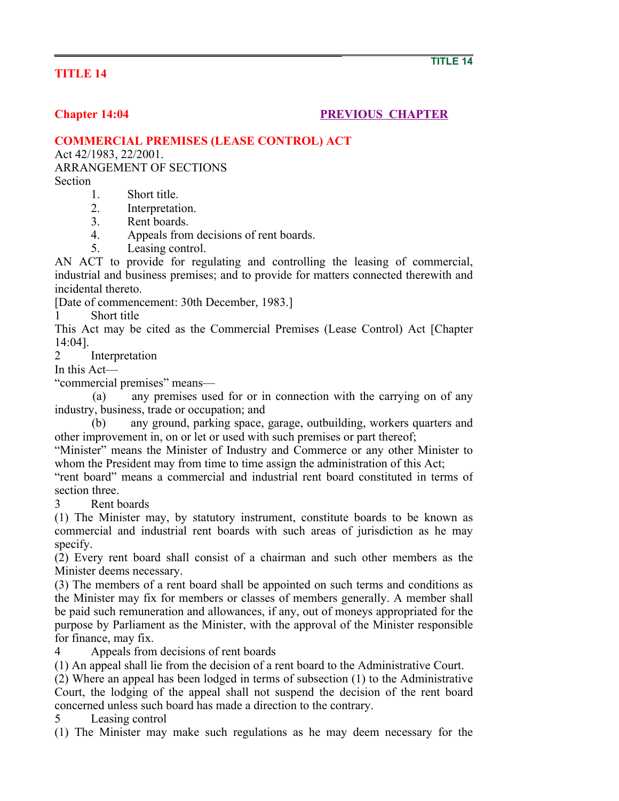## **TITLE 14**

## **Chapter 14:04** PREVIOUS CHAPTER

## **COMMERCIAL PREMISES (LEASE CONTROL) ACT**

Act 42/1983, 22/2001.

ARRANGEMENT OF SECTIONS Section

- 1. Short title.
- 2. Interpretation.
- 3. Rent boards.
- 4. Appeals from decisions of rent boards.
- 5. Leasing control.

AN ACT to provide for regulating and controlling the leasing of commercial, industrial and business premises; and to provide for matters connected therewith and incidental thereto.

[Date of commencement: 30th December, 1983.]

1 Short title

This Act may be cited as the Commercial Premises (Lease Control) Act [Chapter 14:04].

2 Interpretation

In this Act—

"commercial premises" means—

 (a) any premises used for or in connection with the carrying on of any industry, business, trade or occupation; and

 (b) any ground, parking space, garage, outbuilding, workers quarters and other improvement in, on or let or used with such premises or part thereof;

"Minister" means the Minister of Industry and Commerce or any other Minister to whom the President may from time to time assign the administration of this Act;

"rent board" means a commercial and industrial rent board constituted in terms of section three.

3 Rent boards

(1) The Minister may, by statutory instrument, constitute boards to be known as commercial and industrial rent boards with such areas of jurisdiction as he may specify.

(2) Every rent board shall consist of a chairman and such other members as the Minister deems necessary.

(3) The members of a rent board shall be appointed on such terms and conditions as the Minister may fix for members or classes of members generally. A member shall be paid such remuneration and allowances, if any, out of moneys appropriated for the purpose by Parliament as the Minister, with the approval of the Minister responsible for finance, may fix.

4 Appeals from decisions of rent boards

(1) An appeal shall lie from the decision of a rent board to the Administrative Court.

(2) Where an appeal has been lodged in terms of subsection (1) to the Administrative Court, the lodging of the appeal shall not suspend the decision of the rent board concerned unless such board has made a direction to the contrary.

5 Leasing control

(1) The Minister may make such regulations as he may deem necessary for the